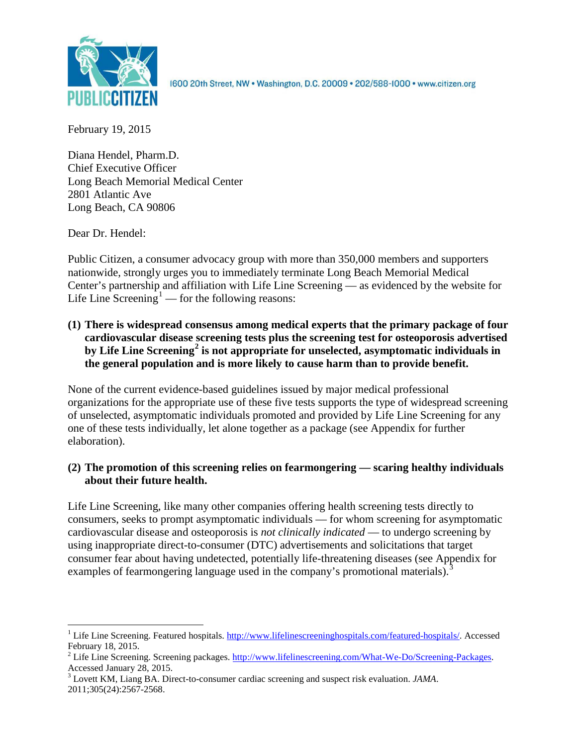

1600 20th Street, NW . Washington, D.C. 20009 . 202/588-1000 . www.citizen.org

February 19, 2015

Diana Hendel, Pharm.D. Chief Executive Officer Long Beach Memorial Medical Center 2801 Atlantic Ave Long Beach, CA 90806

Dear Dr. Hendel:

Public Citizen, a consumer advocacy group with more than 350,000 members and supporters nationwide, strongly urges you to immediately terminate Long Beach Memorial Medical Center's partnership and affiliation with Life Line Screening — as evidenced by the website for Life Line Screening<sup>[1](#page-0-0)</sup> — for the following reasons:

**(1) There is widespread consensus among medical experts that the primary package of four cardiovascular disease screening tests plus the screening test for osteoporosis advertised by Life Line Screening[2](#page-0-1) is not appropriate for unselected, asymptomatic individuals in the general population and is more likely to cause harm than to provide benefit.**

None of the current evidence-based guidelines issued by major medical professional organizations for the appropriate use of these five tests supports the type of widespread screening of unselected, asymptomatic individuals promoted and provided by Life Line Screening for any one of these tests individually, let alone together as a package (see Appendix for further elaboration).

## **(2) The promotion of this screening relies on fearmongering — scaring healthy individuals about their future health.**

Life Line Screening, like many other companies offering health screening tests directly to consumers, seeks to prompt asymptomatic individuals — for whom screening for asymptomatic cardiovascular disease and osteoporosis is *not clinically indicated* — to undergo screening by using inappropriate direct-to-consumer (DTC) advertisements and solicitations that target consumer fear about having undetected, potentially life-threatening diseases (see Appendix for examples of fearmongering language used in the company's promotional materials).<sup>[3](#page-0-2)</sup>

<span id="page-0-0"></span><sup>&</sup>lt;sup>1</sup> Life Line Screening. Featured hospitals. [http://www.lifelinescreeninghospitals.com/featured-hospitals/.](http://www.lifelinescreeninghospitals.com/featured-hospitals/) Accessed

<span id="page-0-1"></span>February 18, 2015.<br><sup>2</sup> Life Line Screening. Screening packages. [http://www.lifelinescreening.com/What-We-Do/Screening-Packages.](http://www.lifelinescreening.com/What-We-Do/Screening-Packages)<br>Accessed January 28, 2015.

<span id="page-0-2"></span><sup>&</sup>lt;sup>3</sup> Lovett KM, Liang BA. Direct-to-consumer cardiac screening and suspect risk evaluation. *JAMA*. 2011;305(24):2567-2568.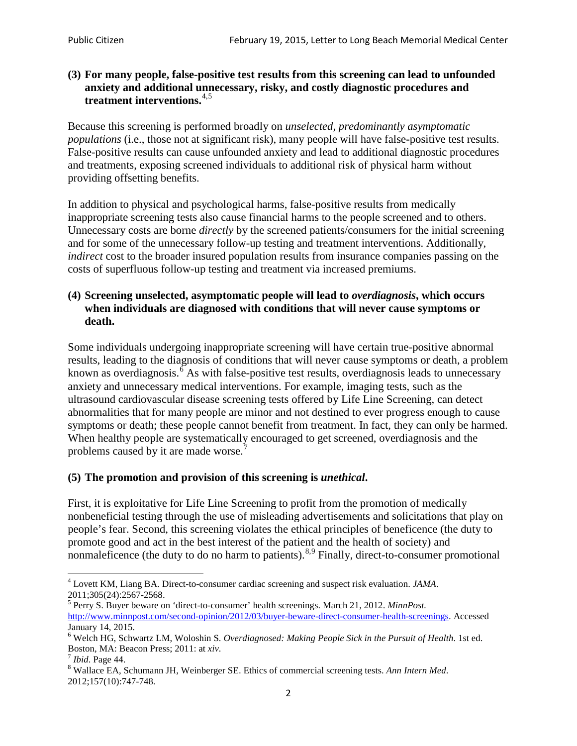#### **(3) For many people, false-positive test results from this screening can lead to unfounded anxiety and additional unnecessary, risky, and costly diagnostic procedures and treatment interventions.**[4](#page-1-0),[5](#page-1-1)

Because this screening is performed broadly on *unselected, predominantly asymptomatic populations* (i.e., those not at significant risk), many people will have false**-**positive test results. False-positive results can cause unfounded anxiety and lead to additional diagnostic procedures and treatments, exposing screened individuals to additional risk of physical harm without providing offsetting benefits.

In addition to physical and psychological harms, false-positive results from medically inappropriate screening tests also cause financial harms to the people screened and to others. Unnecessary costs are borne *directly* by the screened patients/consumers for the initial screening and for some of the unnecessary follow-up testing and treatment interventions. Additionally, *indirect* cost to the broader insured population results from insurance companies passing on the costs of superfluous follow-up testing and treatment via increased premiums.

#### **(4) Screening unselected, asymptomatic people will lead to** *overdiagnosis***, which occurs when individuals are diagnosed with conditions that will never cause symptoms or death.**

Some individuals undergoing inappropriate screening will have certain true-positive abnormal results, leading to the diagnosis of conditions that will never cause symptoms or death, a problem known as overdiagnosis.<sup>[6](#page-1-2)</sup> As with false-positive test results, overdiagnosis leads to unnecessary anxiety and unnecessary medical interventions. For example, imaging tests, such as the ultrasound cardiovascular disease screening tests offered by Life Line Screening, can detect abnormalities that for many people are minor and not destined to ever progress enough to cause symptoms or death; these people cannot benefit from treatment. In fact, they can only be harmed. When healthy people are systematically encouraged to get screened, overdiagnosis and the problems caused by it are made worse.<sup>[7](#page-1-3)</sup>

## **(5) The promotion and provision of this screening is** *unethical***.**

First, it is exploitative for Life Line Screening to profit from the promotion of medically nonbeneficial testing through the use of misleading advertisements and solicitations that play on people's fear. Second, this screening violates the ethical principles of beneficence (the duty to promote good and act in the best interest of the patient and the health of society) and nonmaleficence (the duty to do no harm to patients).<sup>[8](#page-1-4),[9](#page-1-5)</sup> Finally, direct-to-consumer promotional

<span id="page-1-4"></span>2012;157(10):747-748.

<span id="page-1-5"></span><span id="page-1-0"></span><sup>4</sup> Lovett KM, Liang BA. Direct-to-consumer cardiac screening and suspect risk evaluation. *JAMA*.

<span id="page-1-1"></span><sup>2011;305(24):2567-2568.</sup> <sup>5</sup> Perry S. Buyer beware on 'direct-to-consumer' health screenings. March 21, 2012. *MinnPost.*  [http://www.minnpost.com/second-opinion/2012/03/buyer-beware-direct-consumer-health-screenings.](http://www.minnpost.com/second-opinion/2012/03/buyer-beware-direct-consumer-health-screenings) Accessed January 14, 2015.

<span id="page-1-2"></span><sup>6</sup> Welch HG, Schwartz LM, Woloshin S. *Overdiagnosed: Making People Sick in the Pursuit of Health*. 1st ed. Boston, MA: Beacon Press; 2011: at *xiv*.<br><sup>7</sup> *Ibid*. Page 44.<br><sup>8</sup> Wallace EA, Schumann JH, Weinberger SE. Ethics of commercial screening tests. *Ann Intern Med*.

<span id="page-1-3"></span>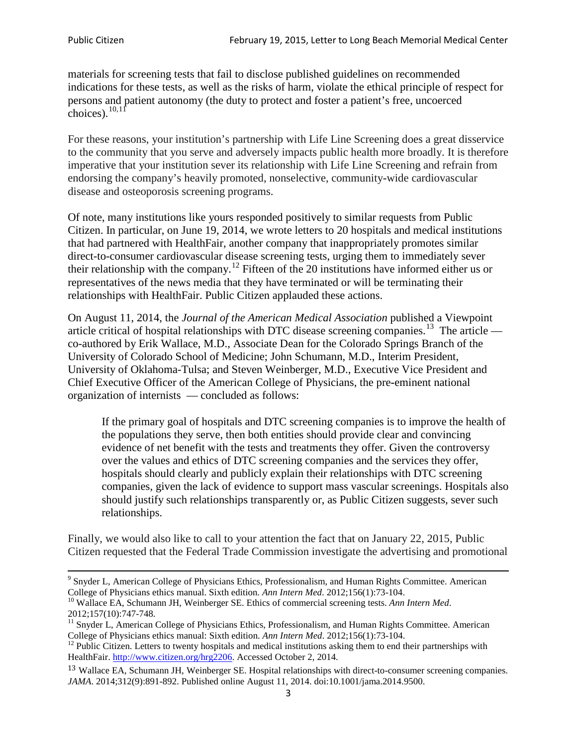materials for screening tests that fail to disclose published guidelines on recommended indications for these tests, as well as the risks of harm, violate the ethical principle of respect for persons and patient autonomy (the duty to protect and foster a patient's free, uncoerced choices). $\frac{10,11}{10,11}$  $\frac{10,11}{10,11}$  $\frac{10,11}{10,11}$  $\frac{10,11}{10,11}$ 

For these reasons, your institution's partnership with Life Line Screening does a great disservice to the community that you serve and adversely impacts public health more broadly. It is therefore imperative that your institution sever its relationship with Life Line Screening and refrain from endorsing the company's heavily promoted, nonselective, community**-**wide cardiovascular disease and osteoporosis screening programs.

Of note, many institutions like yours responded positively to similar requests from Public Citizen. In particular, on June 19, 2014, we wrote letters to 20 hospitals and medical institutions that had partnered with HealthFair, another company that inappropriately promotes similar direct-to-consumer cardiovascular disease screening tests, urging them to immediately sever their relationship with the company. [12](#page-2-2) Fifteen of the 20 institutions have informed either us or representatives of the news media that they have terminated or will be terminating their relationships with HealthFair. Public Citizen applauded these actions.

On August 11, 2014, the *Journal of the American Medical Association* published a Viewpoint article critical of hospital relationships with DTC disease screening companies.<sup>13</sup> The article co-authored by Erik Wallace, M.D., Associate Dean for the Colorado Springs Branch of the University of Colorado School of Medicine; John Schumann, M.D., Interim President, University of Oklahoma-Tulsa; and Steven Weinberger, M.D., Executive Vice President and Chief Executive Officer of the American College of Physicians, the pre**-**eminent national organization of internists — concluded as follows:

If the primary goal of hospitals and DTC screening companies is to improve the health of the populations they serve, then both entities should provide clear and convincing evidence of net benefit with the tests and treatments they offer. Given the controversy over the values and ethics of DTC screening companies and the services they offer, hospitals should clearly and publicly explain their relationships with DTC screening companies, given the lack of evidence to support mass vascular screenings. Hospitals also should justify such relationships transparently or, as Public Citizen suggests, sever such relationships.

Finally, we would also like to call to your attention the fact that on January 22, 2015, Public Citizen requested that the Federal Trade Commission investigate the advertising and promotional

<sup>&</sup>lt;sup>9</sup> Snyder L, American College of Physicians Ethics, Professionalism, and Human Rights Committee. American College of Physicians ethics manual. Sixth edition. Ann Intern Med. 2012;156(1):73-104.

<span id="page-2-0"></span><sup>&</sup>lt;sup>10</sup> Wallace EA, Schumann JH, Weinberger SE. Ethics of commercial screening tests. *Ann Intern Med*. 2012;157(10):747-748.

<span id="page-2-1"></span> $11$  Snyder L, American College of Physicians Ethics, Professionalism, and Human Rights Committee. American College of Physicians ethics manual: Sixth edition. *Ann Intern Med*. 2012;156(1):73-104.<br><sup>12</sup> Public Citizen. Letters to twenty hospitals and medical institutions asking them to end their partnerships with

<span id="page-2-2"></span>HealthFair. [http://www.citizen.org/hrg2206.](http://www.citizen.org/hrg2206) Accessed October 2, 2014.

<span id="page-2-3"></span><sup>13</sup> Wallace EA, Schumann JH, Weinberger SE. Hospital relationships with direct-to-consumer screening companies. *JAMA*. 2014;312(9):891-892. Published online August 11, 2014. doi:10.1001/jama.2014.9500.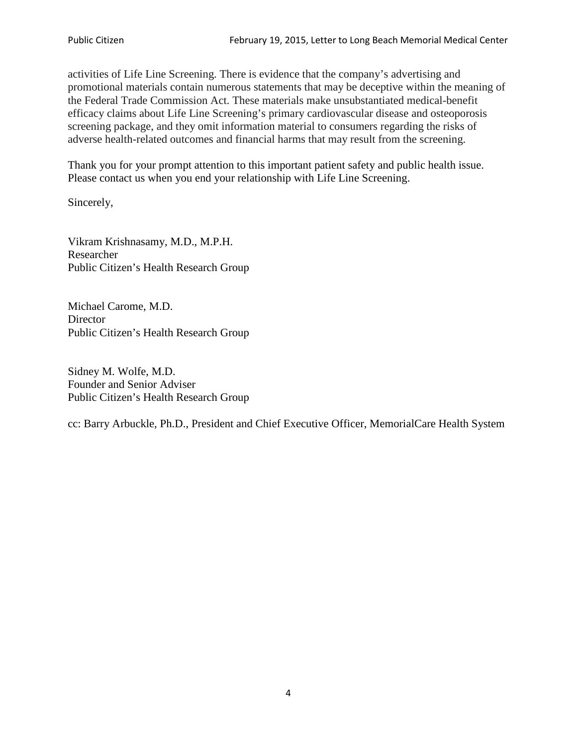activities of Life Line Screening. There is evidence that the company's advertising and promotional materials contain numerous statements that may be deceptive within the meaning of the Federal Trade Commission Act. These materials make unsubstantiated medical-benefit efficacy claims about Life Line Screening's primary cardiovascular disease and osteoporosis screening package, and they omit information material to consumers regarding the risks of adverse health-related outcomes and financial harms that may result from the screening.

Thank you for your prompt attention to this important patient safety and public health issue. Please contact us when you end your relationship with Life Line Screening.

Sincerely,

Vikram Krishnasamy, M.D., M.P.H. Researcher Public Citizen's Health Research Group

Michael Carome, M.D. **Director** Public Citizen's Health Research Group

Sidney M. Wolfe, M.D. Founder and Senior Adviser Public Citizen's Health Research Group

cc: Barry Arbuckle, Ph.D., President and Chief Executive Officer, MemorialCare Health System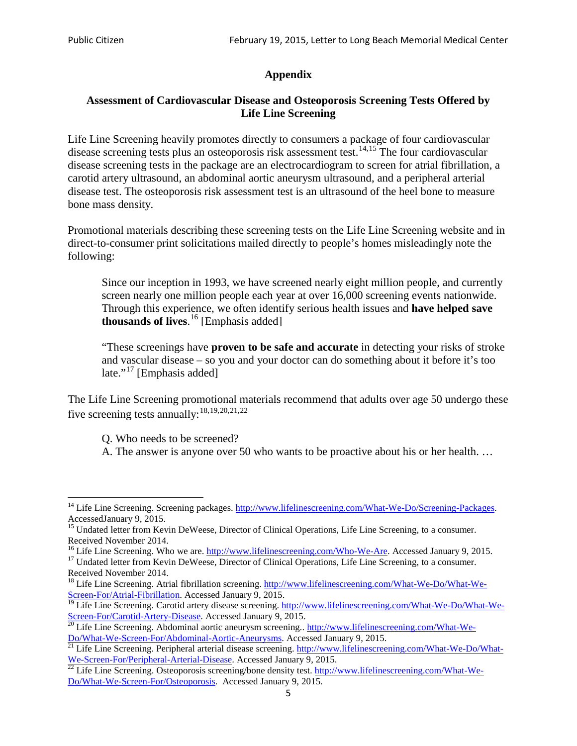## **Appendix**

### **Assessment of Cardiovascular Disease and Osteoporosis Screening Tests Offered by Life Line Screening**

Life Line Screening heavily promotes directly to consumers a package of four cardiovascular disease screening tests plus an osteoporosis risk assessment test.<sup>[14](#page-4-0),[15](#page-4-1)</sup> The four cardiovascular disease screening tests in the package are an electrocardiogram to screen for atrial fibrillation, a carotid artery ultrasound, an abdominal aortic aneurysm ultrasound, and a peripheral arterial disease test. The osteoporosis risk assessment test is an ultrasound of the heel bone to measure bone mass density.

Promotional materials describing these screening tests on the Life Line Screening website and in direct-to-consumer print solicitations mailed directly to people's homes misleadingly note the following:

Since our inception in 1993, we have screened nearly eight million people, and currently screen nearly one million people each year at over 16,000 screening events nationwide. Through this experience, we often identify serious health issues and **have helped save thousands of lives**. [16](#page-4-2) [Emphasis added]

"These screenings have **proven to be safe and accurate** in detecting your risks of stroke and vascular disease – so you and your doctor can do something about it before it's too late."<sup>[17](#page-4-3)</sup> [Emphasis added]

The Life Line Screening promotional materials recommend that adults over age 50 undergo these five screening tests annually:<sup>[18](#page-4-4),[19,](#page-4-5)[20,](#page-4-6)[21](#page-4-7),[22](#page-4-8)</sup>

Q. Who needs to be screened?

A. The answer is anyone over 50 who wants to be proactive about his or her health. …

Received November 2014.<br><sup>16</sup> Life Line Screening. Who we are. http://www.lifelinescreening.com/Who-We-Are. Accessed January 9, 2015.

<span id="page-4-3"></span><span id="page-4-2"></span><sup>17</sup> Undated letter from Kevin DeWeese, Director of Clinical Operations, Life Line Screening, to a consumer. Received November 2014.

<span id="page-4-0"></span><sup>&</sup>lt;sup>14</sup> Life Line Screening. Screening packages. [http://www.lifelinescreening.com/What-We-Do/Screening-Packages.](http://www.lifelinescreening.com/What-We-Do/Screening-Packages) AccessedJanuary 9, 2015.

<span id="page-4-1"></span><sup>&</sup>lt;sup>15</sup> Undated letter from Kevin DeWeese, Director of Clinical Operations, Life Line Screening, to a consumer.

<span id="page-4-4"></span><sup>&</sup>lt;sup>18</sup> Life Line Screening. Atrial fibrillation screening. [http://www.lifelinescreening.com/What-We-Do/What-We-](http://www.lifelinescreening.com/What-We-Do/What-We-Screen-For/Atrial-Fibrillation)[Screen-For/Atrial-Fibrillation.](http://www.lifelinescreening.com/What-We-Do/What-We-Screen-For/Atrial-Fibrillation) Accessed January 9, 2015.

<span id="page-4-5"></span><sup>&</sup>lt;sup>19</sup> Life Line Screening. Carotid artery disease screening. [http://www.lifelinescreening.com/What-We-Do/What-We-](http://www.lifelinescreening.com/What-We-Do/What-We-Screen-For/Carotid-Artery-Disease)

<span id="page-4-6"></span>[Screen-For/Carotid-Artery-Disease.](http://www.lifelinescreening.com/What-We-Do/What-We-Screen-For/Carotid-Artery-Disease) Accessed January 9, 2015.<br><sup>20</sup> Life Line Screening. Abdominal aortic aneurysm screening.. http://www.lifelinescreening.com/What-We-<br>Do/What-We-Screen-For/Abdominal-Aortic-Aneurysms. Acces

<span id="page-4-7"></span><sup>&</sup>lt;sup>21</sup> Life Line Screening. Peripheral arterial disease screening. [http://www.lifelinescreening.com/What-We-Do/What-](http://www.lifelinescreening.com/What-We-Do/What-We-Screen-For/Peripheral-Arterial-Disease)

<span id="page-4-8"></span>[We-Screen-For/Peripheral-Arterial-Disease.](http://www.lifelinescreening.com/What-We-Do/What-We-Screen-For/Peripheral-Arterial-Disease) Accessed January 9, 2015.<br><sup>22</sup> Life Line Screening. Osteoporosis screening/bone density test. [http://www.lifelinescreening.com/What-We-](http://www.lifelinescreening.com/What-We-Do/What-We-Screen-For/Osteoporosis)[Do/What-We-Screen-For/Osteoporosis.](http://www.lifelinescreening.com/What-We-Do/What-We-Screen-For/Osteoporosis) Accessed January 9, 2015.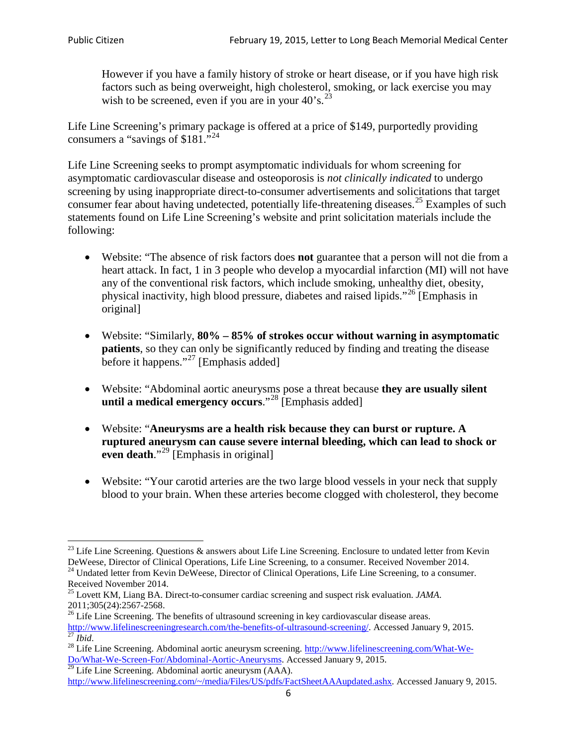However if you have a family history of stroke or heart disease, or if you have high risk factors such as being overweight, high cholesterol, smoking, or lack exercise you may wish to be screened, even if you are in your  $40^\circ$ s.<sup>[23](#page-5-0)</sup>

Life Line Screening's primary package is offered at a price of \$149, purportedly providing consumers a "savings of \$181."<sup>[24](#page-5-1)</sup>

Life Line Screening seeks to prompt asymptomatic individuals for whom screening for asymptomatic cardiovascular disease and osteoporosis is *not clinically indicated* to undergo screening by using inappropriate direct-to-consumer advertisements and solicitations that target consumer fear about having undetected, potentially life-threatening diseases.<sup>[25](#page-5-2)</sup> Examples of such statements found on Life Line Screening's website and print solicitation materials include the following:

- Website: "The absence of risk factors does **not** guarantee that a person will not die from a heart attack. In fact, 1 in 3 people who develop a myocardial infarction (MI) will not have any of the conventional risk factors, which include smoking, unhealthy diet, obesity, physical inactivity, high blood pressure, diabetes and raised lipids."[26](#page-5-3) [Emphasis in original]
- Website: "Similarly, **80% – 85% of strokes occur without warning in asymptomatic patients**, so they can only be significantly reduced by finding and treating the disease before it happens."<sup>[27](#page-5-4)</sup> [Emphasis added]
- Website: "Abdominal aortic aneurysms pose a threat because **they are usually silent until a medical emergency occurs**."[28](#page-5-5) [Emphasis added]
- Website: "**Aneurysms are a health risk because they can burst or rupture. A ruptured aneurysm can cause severe internal bleeding, which can lead to shock or even death.**"<sup>[29](#page-5-6)</sup> [Emphasis in original]
- Website: "Your carotid arteries are the two large blood vessels in your neck that supply blood to your brain. When these arteries become clogged with cholesterol, they become

<span id="page-5-0"></span><sup>&</sup>lt;sup>23</sup> Life Line Screening. Questions  $\&$  answers about Life Line Screening. Enclosure to undated letter from Kevin DeWeese, Director of Clinical Operations, Life Line Screening, to a consumer. Received November 2014.

<span id="page-5-1"></span><sup>&</sup>lt;sup>24</sup> Undated letter from Kevin DeWeese, Director of Clinical Operations, Life Line Screening, to a consumer. Received November 2014.

<span id="page-5-2"></span><sup>25</sup> Lovett KM, Liang BA. Direct-to-consumer cardiac screening and suspect risk evaluation. *JAMA*.  $2011;305(24):2567-2568$ .<br><sup>26</sup> Life Line Screening. The benefits of ultrasound screening in key cardiovascular disease areas.

<span id="page-5-3"></span>[http://www.lifelinescreeningresearch.com/the-benefits-of-ultrasound-screening/.](http://www.lifelinescreeningresearch.com/the-benefits-of-ultrasound-screening/) Accessed January 9, 2015.<br><sup>28</sup> Life Line Screening. Abdominal aortic aneurysm screening. http://www.lifelinescreening.com/What-We-<sup>28</sup>

<span id="page-5-5"></span><span id="page-5-4"></span>[Do/What-We-Screen-For/Abdominal-Aortic-Aneurysms.](http://www.lifelinescreening.com/What-We-Do/What-We-Screen-For/Abdominal-Aortic-Aneurysms) Accessed January 9, 2015. <sup>29</sup> Life Line Screening. Abdominal aortic aneurysm (AAA).

<span id="page-5-6"></span>[http://www.lifelinescreening.com/~/media/Files/US/pdfs/FactSheetAAAupdated.ashx.](http://www.lifelinescreening.com/~/media/Files/US/pdfs/FactSheetAAAupdated.ashx) Accessed January 9, 2015.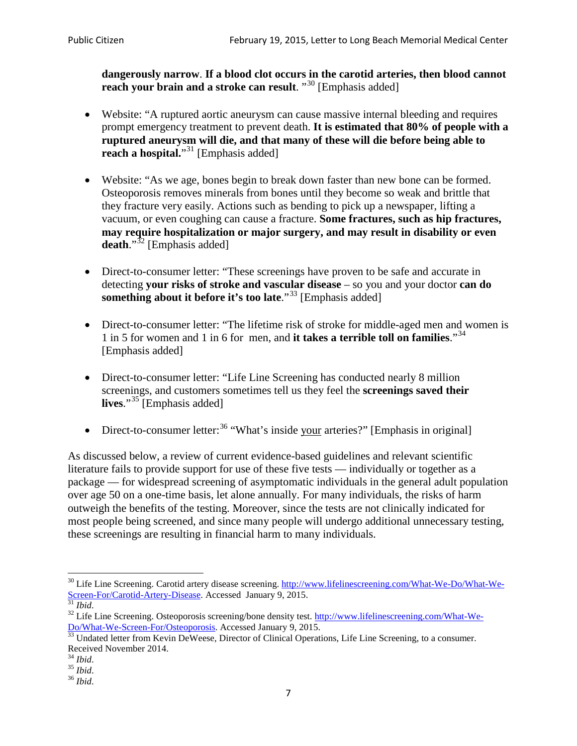**dangerously narrow**. **If a blood clot occurs in the carotid arteries, then blood cannot reach your brain and a stroke can result**. "<sup>[30](#page-6-0)</sup> [Emphasis added]

- Website: "A ruptured aortic aneurysm can cause massive internal bleeding and requires prompt emergency treatment to prevent death. **It is estimated that 80% of people with a ruptured aneurysm will die, and that many of these will die before being able to reach a hospital.**"<sup>[31](#page-6-1)</sup> [Emphasis added]
- Website: "As we age, bones begin to break down faster than new bone can be formed. Osteoporosis removes minerals from bones until they become so weak and brittle that they fracture very easily. Actions such as bending to pick up a newspaper, lifting a vacuum, or even coughing can cause a fracture. **Some fractures, such as hip fractures, may require hospitalization or major surgery, and may result in disability or even**  death."<sup>[32](#page-6-2)</sup> [Emphasis added]
- Direct-to-consumer letter: "These screenings have proven to be safe and accurate in detecting **your risks of stroke and vascular disease** – so you and your doctor **can do something about it before it's too late.**"<sup>[33](#page-6-3)</sup> [Emphasis added]
- Direct-to-consumer letter: "The lifetime risk of stroke for middle-aged men and women is 1 in 5 for women and 1 in 6 for men, and **it takes a terrible toll on families**."[34](#page-6-4) [Emphasis added]
- Direct-to-consumer letter: "Life Line Screening has conducted nearly 8 million screenings, and customers sometimes tell us they feel the **screenings saved their**  lives."<sup>[35](#page-6-5)</sup> [Emphasis added]
- Direct-to-consumer letter:  $36$  "What's inside your arteries?" [Emphasis in original]

As discussed below, a review of current evidence-based guidelines and relevant scientific literature fails to provide support for use of these five tests — individually or together as a package — for widespread screening of asymptomatic individuals in the general adult population over age 50 on a one-time basis, let alone annually. For many individuals, the risks of harm outweigh the benefits of the testing. Moreover, since the tests are not clinically indicated for most people being screened, and since many people will undergo additional unnecessary testing, these screenings are resulting in financial harm to many individuals.

<span id="page-6-0"></span><sup>&</sup>lt;sup>30</sup> Life Line Screening. Carotid artery disease screening. [http://www.lifelinescreening.com/What-We-Do/What-We-](http://www.lifelinescreening.com/What-We-Do/What-We-Screen-For/Carotid-Artery-Disease)[Screen-For/Carotid-Artery-Disease.](http://www.lifelinescreening.com/What-We-Do/What-We-Screen-For/Carotid-Artery-Disease) Accessed January 9, 2015.<br><sup>31</sup> *Ibid.* 32 Life Line Screening. Osteoporosis screening/bone density test. [http://www.lifelinescreening.com/What-We-](http://www.lifelinescreening.com/What-We-Do/What-We-Screen-For/Osteoporosis)

<span id="page-6-2"></span><span id="page-6-1"></span>[Do/What-We-Screen-For/Osteoporosis.](http://www.lifelinescreening.com/What-We-Do/What-We-Screen-For/Osteoporosis) Accessed January 9, 2015. <sup>33</sup> Undated letter from Kevin DeWeese, Director of Clinical Operations, Life Line Screening, to a consumer.

<span id="page-6-3"></span>Received November 2014.<br><sup>34</sup> Ibid.

<span id="page-6-4"></span>

<span id="page-6-5"></span><sup>34</sup> *Ibid*. 35 *Ibid*. 36 *Ibid*.

<span id="page-6-6"></span>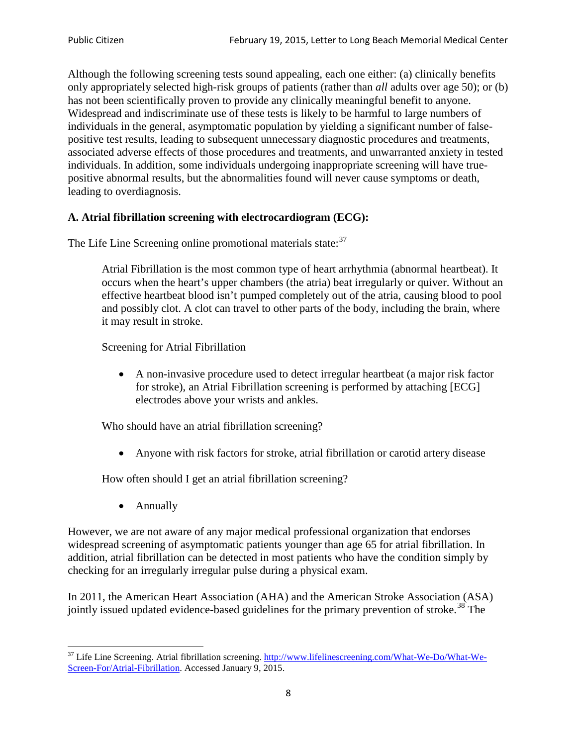Although the following screening tests sound appealing, each one either: (a) clinically benefits only appropriately selected high-risk groups of patients (rather than *all* adults over age 50); or (b) has not been scientifically proven to provide any clinically meaningful benefit to anyone. Widespread and indiscriminate use of these tests is likely to be harmful to large numbers of individuals in the general, asymptomatic population by yielding a significant number of falsepositive test results, leading to subsequent unnecessary diagnostic procedures and treatments, associated adverse effects of those procedures and treatments, and unwarranted anxiety in tested individuals. In addition, some individuals undergoing inappropriate screening will have truepositive abnormal results, but the abnormalities found will never cause symptoms or death, leading to overdiagnosis.

## **A. Atrial fibrillation screening with electrocardiogram (ECG):**

The Life Line Screening online promotional materials state:<sup>[37](#page-7-0)</sup>

Atrial Fibrillation is the most common type of heart arrhythmia (abnormal heartbeat). It occurs when the heart's upper chambers (the atria) beat irregularly or quiver. Without an effective heartbeat blood isn't pumped completely out of the atria, causing blood to pool and possibly clot. A clot can travel to other parts of the body, including the brain, where it may result in stroke.

Screening for Atrial Fibrillation

• A non-invasive procedure used to detect irregular heartbeat (a major risk factor for stroke), an Atrial Fibrillation screening is performed by attaching [ECG] electrodes above your wrists and ankles.

Who should have an atrial fibrillation screening?

• Anyone with risk factors for stroke, atrial fibrillation or carotid artery disease

How often should I get an atrial fibrillation screening?

• Annually

<span id="page-7-1"></span>However, we are not aware of any major medical professional organization that endorses widespread screening of asymptomatic patients younger than age 65 for atrial fibrillation. In addition, atrial fibrillation can be detected in most patients who have the condition simply by checking for an irregularly irregular pulse during a physical exam.

In 2011, the American Heart Association (AHA) and the American Stroke Association (ASA) jointly issued updated evidence-based guidelines for the primary prevention of stroke.<sup>[38](#page-7-1)</sup> The

<span id="page-7-0"></span><sup>&</sup>lt;sup>37</sup> Life Line Screening. Atrial fibrillation screening. [http://www.lifelinescreening.com/What-We-Do/What-We-](http://www.lifelinescreening.com/What-We-Do/What-We-Screen-For/Atrial-Fibrillation)[Screen-For/Atrial-Fibrillation.](http://www.lifelinescreening.com/What-We-Do/What-We-Screen-For/Atrial-Fibrillation) Accessed January 9, 2015.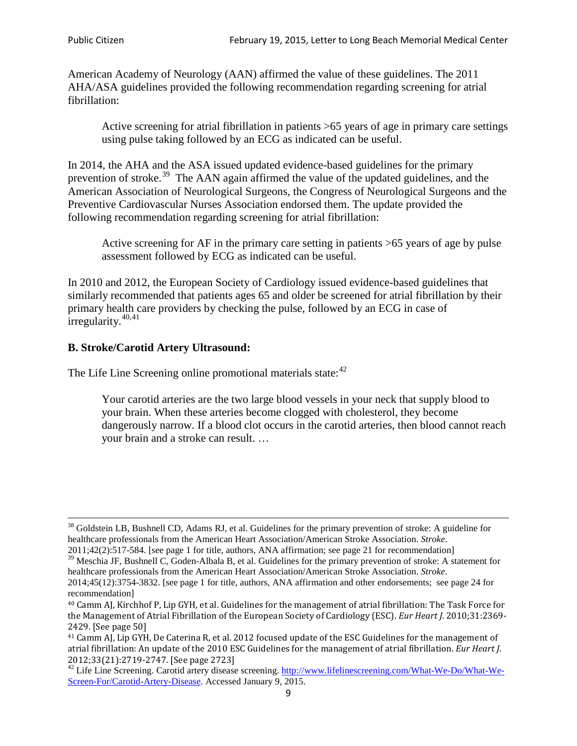American Academy of Neurology (AAN) affirmed the value of these guidelines. The 2011 AHA/ASA guidelines provided the following recommendation regarding screening for atrial fibrillation:

Active screening for atrial fibrillation in patients >65 years of age in primary care settings using pulse taking followed by an ECG as indicated can be useful.

In 2014, the AHA and the ASA issued updated evidence-based guidelines for the primary prevention of stroke.<sup>[39](#page-8-0)</sup> The AAN again affirmed the value of the updated guidelines, and the American Association of Neurological Surgeons, the Congress of Neurological Surgeons and the Preventive Cardiovascular Nurses Association endorsed them. The update provided the following recommendation regarding screening for atrial fibrillation:

Active screening for AF in the primary care setting in patients >65 years of age by pulse assessment followed by ECG as indicated can be useful.

In 2010 and 2012, the European Society of Cardiology issued evidence-based guidelines that similarly recommended that patients ages 65 and older be screened for atrial fibrillation by their primary health care providers by checking the pulse, followed by an ECG in case of irregularity. $40,41$  $40,41$ 

# **B. Stroke/Carotid Artery Ultrasound:**

The Life Line Screening online promotional materials state:<sup>[42](#page-8-3)</sup>

Your carotid arteries are the two large blood vessels in your neck that supply blood to your brain. When these arteries become clogged with cholesterol, they become dangerously narrow. If a blood clot occurs in the carotid arteries, then blood cannot reach your brain and a stroke can result. …

<sup>&</sup>lt;sup>38</sup> Goldstein LB, Bushnell CD, Adams RJ, et al. Guidelines for the primary prevention of stroke: A guideline for healthcare professionals from the American Heart Association/American Stroke Association. *Stroke*.

<sup>2011;42(2):517-584.</sup> [see page 1 for title, authors, ANA affirmation; see page 21 for recommendation]

<span id="page-8-0"></span> $\frac{2011,42(2)(317,601)}{39}$  Meschia JF, Bushnell C, Goden-Albala B, et al. Guidelines for the primary prevention of stroke: A statement for healthcare professionals from the American Heart Association/American Stroke Association. *Stroke*.

<sup>2014;45(12):3754-3832.</sup> [see page 1 for title, authors, ANA affirmation and other endorsements; see page 24 for recommendation]

<span id="page-8-1"></span><sup>40</sup> Camm AJ, Kirchhof P, Lip GYH, et al. Guidelines for the management of atrial fibrillation: The Task Force for the Management of Atrial Fibrillation of the European Society of Cardiology (ESC). *Eur Heart J*. 2010;31:2369- 2429. [See page 50]

<span id="page-8-2"></span><sup>41</sup> Camm AJ, Lip GYH, De Caterina R, et al. 2012 focused update of the ESC Guidelines for the management of atrial fibrillation: An update of the 2010 ESC Guidelines for the management of atrial fibrillation. *Eur Heart J*.

<span id="page-8-3"></span><sup>&</sup>lt;sup>2012</sup>;23(21):2719-2747. [See page 2733] 42 Life Line Screening. [http://www.lifelinescreening.com/What-We-Do/What-We-](http://www.lifelinescreening.com/What-We-Do/What-We-Screen-For/Carotid-Artery-Disease)[Screen-For/Carotid-Artery-Disease.](http://www.lifelinescreening.com/What-We-Do/What-We-Screen-For/Carotid-Artery-Disease) Accessed January 9, 2015.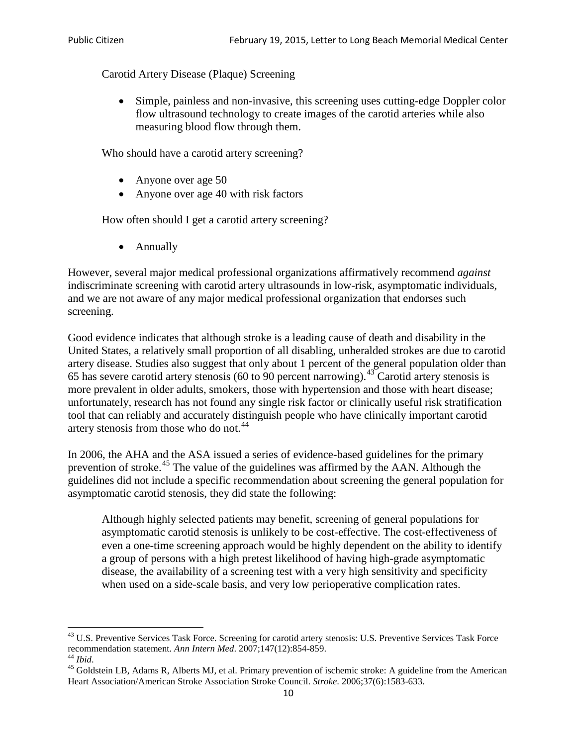Carotid Artery Disease (Plaque) Screening

• Simple, painless and non-invasive, this screening uses cutting-edge Doppler color flow ultrasound technology to create images of the carotid arteries while also measuring blood flow through them.

Who should have a carotid artery screening?

- Anyone over age 50
- Anyone over age 40 with risk factors

How often should I get a carotid artery screening?

• Annually

However, several major medical professional organizations affirmatively recommend *against* indiscriminate screening with carotid artery ultrasounds in low-risk, asymptomatic individuals, and we are not aware of any major medical professional organization that endorses such screening.

Good evidence indicates that although stroke is a leading cause of death and disability in the United States, a relatively small proportion of all disabling, unheralded strokes are due to carotid artery disease. Studies also suggest that only about 1 percent of the general population older than 65 has severe carotid artery stenosis (60 to 90 percent narrowing).<sup>[43](#page-9-0)</sup> Carotid artery stenosis is more prevalent in older adults, smokers, those with hypertension and those with heart disease; unfortunately, research has not found any single risk factor or clinically useful risk stratification tool that can reliably and accurately distinguish people who have clinically important carotid artery stenosis from those who do not.<sup>[44](#page-9-1)</sup>

In 2006, the AHA and the ASA issued a series of evidence-based guidelines for the primary prevention of stroke.[45](#page-9-2) The value of the guidelines was affirmed by the AAN. Although the guidelines did not include a specific recommendation about screening the general population for asymptomatic carotid stenosis, they did state the following:

Although highly selected patients may benefit, screening of general populations for asymptomatic carotid stenosis is unlikely to be cost-effective. The cost-effectiveness of even a one-time screening approach would be highly dependent on the ability to identify a group of persons with a high pretest likelihood of having high-grade asymptomatic disease, the availability of a screening test with a very high sensitivity and specificity when used on a side-scale basis, and very low perioperative complication rates.

<span id="page-9-0"></span> $^{43}$  U.S. Preventive Services Task Force. Screening for carotid artery stenosis: U.S. Preventive Services Task Force recommendation statement. Ann Intern Med. 2007;147(12):854-859.

<span id="page-9-2"></span>

<span id="page-9-1"></span><sup>&</sup>lt;sup>44</sup> *Ibid*. <sup>45</sup> Goldstein LB, Adams R, Alberts MJ, et al. Primary prevention of ischemic stroke: A guideline from the American <sup>45</sup> Goldstein LB, Adams R, Alberts MJ, et al. Primary prevention of ischemic stroke: A guide Heart Association/American Stroke Association Stroke Council. *Stroke*. 2006;37(6):1583-633.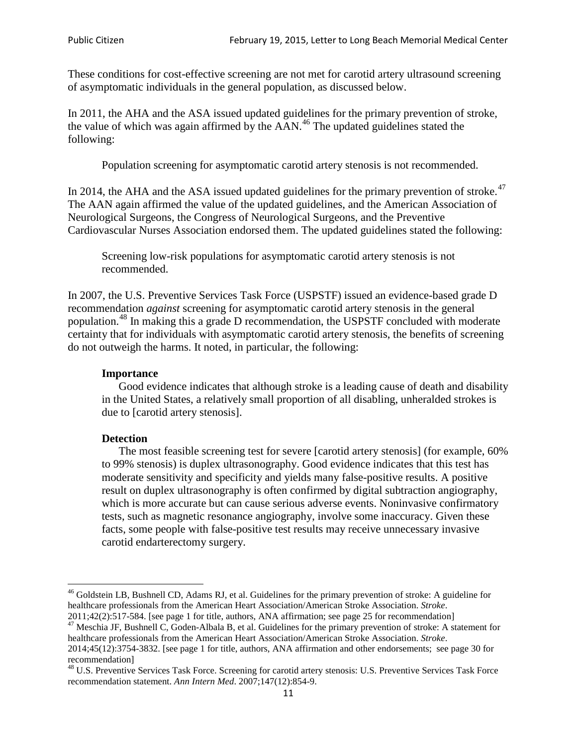These conditions for cost-effective screening are not met for carotid artery ultrasound screening of asymptomatic individuals in the general population, as discussed below.

In 2011, the AHA and the ASA issued updated guidelines for the primary prevention of stroke, the value of which was again affirmed by the  $AAN<sup>46</sup>$  $AAN<sup>46</sup>$  $AAN<sup>46</sup>$ . The updated guidelines stated the following:

Population screening for asymptomatic carotid artery stenosis is not recommended.

In 2014, the AHA and the ASA issued updated guidelines for the primary prevention of stroke. $47$ The AAN again affirmed the value of the updated guidelines, and the American Association of Neurological Surgeons, the Congress of Neurological Surgeons, and the Preventive Cardiovascular Nurses Association endorsed them. The updated guidelines stated the following:

Screening low-risk populations for asymptomatic carotid artery stenosis is not recommended.

In 2007, the U.S. Preventive Services Task Force (USPSTF) issued an evidence-based grade D recommendation *against* screening for asymptomatic carotid artery stenosis in the general population.[48](#page-10-2) In making this a grade D recommendation, the USPSTF concluded with moderate certainty that for individuals with asymptomatic carotid artery stenosis, the benefits of screening do not outweigh the harms. It noted, in particular, the following:

#### **Importance**

Good evidence indicates that although stroke is a leading cause of death and disability in the United States, a relatively small proportion of all disabling, unheralded strokes is due to [carotid artery stenosis].

#### **Detection**

The most feasible screening test for severe [carotid artery stenosis] (for example, 60% to 99% stenosis) is duplex ultrasonography. Good evidence indicates that this test has moderate sensitivity and specificity and yields many false-positive results. A positive result on duplex ultrasonography is often confirmed by digital subtraction angiography, which is more accurate but can cause serious adverse events. Noninvasive confirmatory tests, such as magnetic resonance angiography, involve some inaccuracy. Given these facts, some people with false-positive test results may receive unnecessary invasive carotid endarterectomy surgery.

<span id="page-10-0"></span><sup>&</sup>lt;sup>46</sup> Goldstein LB, Bushnell CD, Adams RJ, et al. Guidelines for the primary prevention of stroke: A guideline for healthcare professionals from the American Heart Association/American Stroke Association. *Stroke*.<br>2011;42(2):517-584. [see page 1 for title, authors, ANA affirmation; see page 25 for recommendation]

<span id="page-10-1"></span><sup>&</sup>lt;sup>47</sup> Meschia JF, Bushnell C, Goden-Albala B, et al. Guidelines for the primary prevention of stroke: A statement for healthcare professionals from the American Heart Association/American Stroke Association. *Stroke*. 2014;45(12):3754-3832. [see page 1 for title, authors, ANA affirmation and other endorsements; see page 30 for

recommendation]

<span id="page-10-2"></span><sup>&</sup>lt;sup>48</sup> U.S. Preventive Services Task Force. Screening for carotid artery stenosis: U.S. Preventive Services Task Force recommendation statement. *Ann Intern Med*. 2007;147(12):854-9.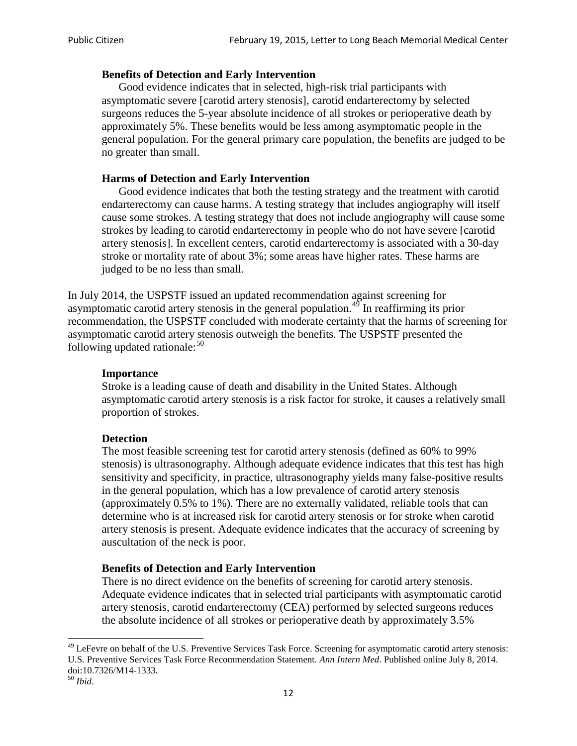#### **Benefits of Detection and Early Intervention**

Good evidence indicates that in selected, high-risk trial participants with asymptomatic severe [carotid artery stenosis], carotid endarterectomy by selected surgeons reduces the 5-year absolute incidence of all strokes or perioperative death by approximately 5%. These benefits would be less among asymptomatic people in the general population. For the general primary care population, the benefits are judged to be no greater than small.

### **Harms of Detection and Early Intervention**

Good evidence indicates that both the testing strategy and the treatment with carotid endarterectomy can cause harms. A testing strategy that includes angiography will itself cause some strokes. A testing strategy that does not include angiography will cause some strokes by leading to carotid endarterectomy in people who do not have severe [carotid artery stenosis]. In excellent centers, carotid endarterectomy is associated with a 30-day stroke or mortality rate of about 3%; some areas have higher rates. These harms are judged to be no less than small.

In July 2014, the USPSTF issued an updated recommendation against screening for asymptomatic carotid artery stenosis in the general population.<sup>[49](#page-11-0)</sup> In reaffirming its prior recommendation, the USPSTF concluded with moderate certainty that the harms of screening for asymptomatic carotid artery stenosis outweigh the benefits. The USPSTF presented the following updated rationale: $50$ 

#### **Importance**

Stroke is a leading cause of death and disability in the United States. Although asymptomatic carotid artery stenosis is a risk factor for stroke, it causes a relatively small proportion of strokes.

#### **Detection**

The most feasible screening test for carotid artery stenosis (defined as 60% to 99% stenosis) is ultrasonography. Although adequate evidence indicates that this test has high sensitivity and specificity, in practice, ultrasonography yields many false-positive results in the general population, which has a low prevalence of carotid artery stenosis (approximately 0.5% to 1%). There are no externally validated, reliable tools that can determine who is at increased risk for carotid artery stenosis or for stroke when carotid artery stenosis is present. Adequate evidence indicates that the accuracy of screening by auscultation of the neck is poor.

## **Benefits of Detection and Early Intervention**

There is no direct evidence on the benefits of screening for carotid artery stenosis. Adequate evidence indicates that in selected trial participants with asymptomatic carotid artery stenosis, carotid endarterectomy (CEA) performed by selected surgeons reduces the absolute incidence of all strokes or perioperative death by approximately 3.5%

<span id="page-11-0"></span><sup>&</sup>lt;sup>49</sup> LeFevre on behalf of the U.S. Preventive Services Task Force. Screening for asymptomatic carotid artery stenosis: U.S. Preventive Services Task Force Recommendation Statement. *Ann Intern Med*. Published online July 8, 2014. doi:10.7326/M14-1333. <sup>50</sup> *Ibid*.

<span id="page-11-1"></span>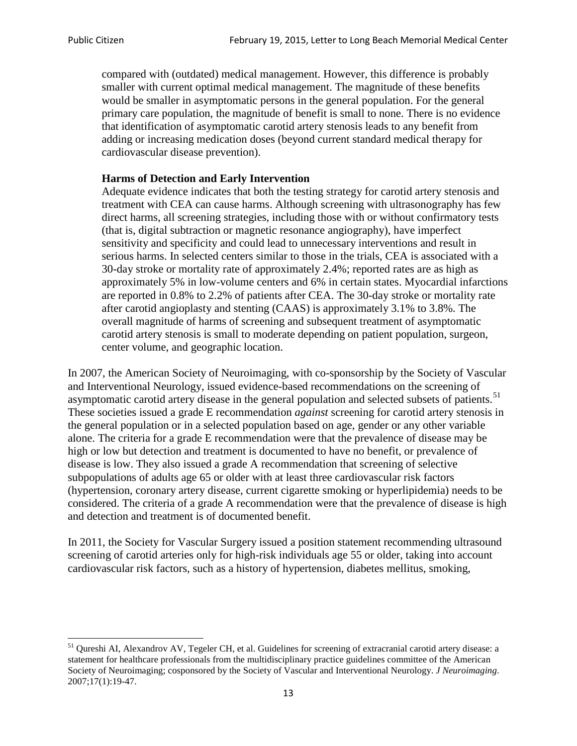compared with (outdated) medical management. However, this difference is probably smaller with current optimal medical management. The magnitude of these benefits would be smaller in asymptomatic persons in the general population. For the general primary care population, the magnitude of benefit is small to none. There is no evidence that identification of asymptomatic carotid artery stenosis leads to any benefit from adding or increasing medication doses (beyond current standard medical therapy for cardiovascular disease prevention).

### **Harms of Detection and Early Intervention**

Adequate evidence indicates that both the testing strategy for carotid artery stenosis and treatment with CEA can cause harms. Although screening with ultrasonography has few direct harms, all screening strategies, including those with or without confirmatory tests (that is, digital subtraction or magnetic resonance angiography), have imperfect sensitivity and specificity and could lead to unnecessary interventions and result in serious harms. In selected centers similar to those in the trials, CEA is associated with a 30-day stroke or mortality rate of approximately 2.4%; reported rates are as high as approximately 5% in low-volume centers and 6% in certain states. Myocardial infarctions are reported in 0.8% to 2.2% of patients after CEA. The 30-day stroke or mortality rate after carotid angioplasty and stenting (CAAS) is approximately 3.1% to 3.8%. The overall magnitude of harms of screening and subsequent treatment of asymptomatic carotid artery stenosis is small to moderate depending on patient population, surgeon, center volume, and geographic location.

In 2007, the American Society of Neuroimaging, with co-sponsorship by the Society of Vascular and Interventional Neurology, issued evidence-based recommendations on the screening of asymptomatic carotid artery disease in the general population and selected subsets of patients.<sup>[51](#page-12-0)</sup> These societies issued a grade E recommendation *against* screening for carotid artery stenosis in the general population or in a selected population based on age, gender or any other variable alone. The criteria for a grade E recommendation were that the prevalence of disease may be high or low but detection and treatment is documented to have no benefit, or prevalence of disease is low. They also issued a grade A recommendation that screening of selective subpopulations of adults age 65 or older with at least three cardiovascular risk factors (hypertension, coronary artery disease, current cigarette smoking or hyperlipidemia) needs to be considered. The criteria of a grade A recommendation were that the prevalence of disease is high and detection and treatment is of documented benefit.

In 2011, the Society for Vascular Surgery issued a position statement recommending ultrasound screening of carotid arteries only for high-risk individuals age 55 or older, taking into account cardiovascular risk factors, such as a history of hypertension, diabetes mellitus, smoking,

<span id="page-12-0"></span><sup>&</sup>lt;sup>51</sup> Qureshi AI, Alexandrov AV, Tegeler CH, et al. Guidelines for screening of extracranial carotid artery disease: a statement for healthcare professionals from the multidisciplinary practice guidelines committee of the American Society of Neuroimaging; cosponsored by the Society of Vascular and Interventional Neurology. *J Neuroimaging*. 2007;17(1):19-47.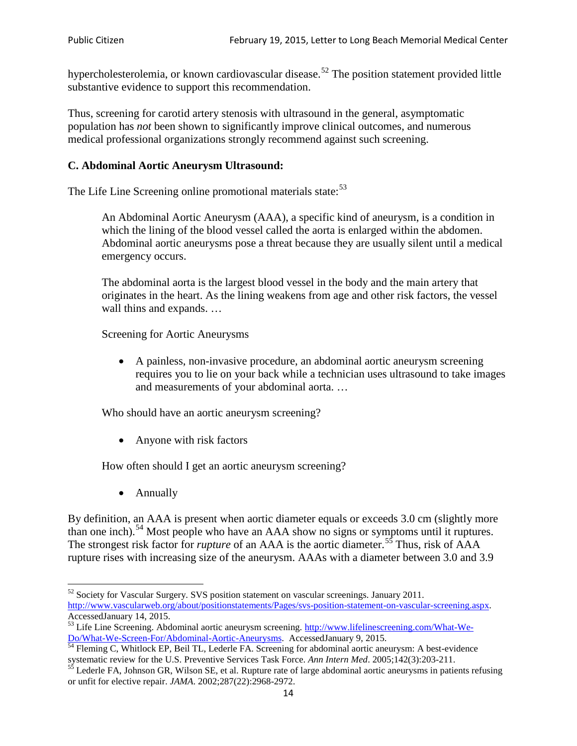hypercholesterolemia, or known cardiovascular disease.<sup>[52](#page-13-0)</sup> The position statement provided little substantive evidence to support this recommendation.

Thus, screening for carotid artery stenosis with ultrasound in the general, asymptomatic population has *not* been shown to significantly improve clinical outcomes, and numerous medical professional organizations strongly recommend against such screening.

### **C. Abdominal Aortic Aneurysm Ultrasound:**

The Life Line Screening online promotional materials state:<sup>[53](#page-13-1)</sup>

An Abdominal Aortic Aneurysm (AAA), a specific kind of aneurysm, is a condition in which the lining of the blood vessel called the aorta is enlarged within the abdomen. Abdominal aortic aneurysms pose a threat because they are usually silent until a medical emergency occurs.

The abdominal aorta is the largest blood vessel in the body and the main artery that originates in the heart. As the lining weakens from age and other risk factors, the vessel wall thins and expands. …

Screening for Aortic Aneurysms

• A painless, non-invasive procedure, an abdominal aortic aneurysm screening requires you to lie on your back while a technician uses ultrasound to take images and measurements of your abdominal aorta. …

Who should have an aortic aneurysm screening?

• Anyone with risk factors

How often should I get an aortic aneurysm screening?

• Annually

By definition, an AAA is present when aortic diameter equals or exceeds 3.0 cm (slightly more than one inch).<sup>[54](#page-13-2)</sup> Most people who have an AAA show no signs or symptoms until it ruptures. The strongest risk factor for *rupture* of an AAA is the aortic diameter.<sup>[55](#page-13-3)</sup> Thus, risk of AAA rupture rises with increasing size of the aneurysm. AAAs with a diameter between 3.0 and 3.9

<span id="page-13-0"></span><sup>&</sup>lt;sup>52</sup> Society for Vascular Surgery. SVS position statement on vascular screenings. January 2011. http://www.vascularweb.org/about/positionstatements/Pages/svs-position-statement-on-vascular-screening.aspx.<br>Accessed January 14, 2015.

<span id="page-13-1"></span>Accessed January 14, 2015.<br>
Sa Life Line Screening. Abdominal aortic aneurysm screening. http://www.lifelinescreening.com/What-We-<br>
Do/What-We-Screen-For/Abdominal-Aortic-Aneurysms. Accessed January 9, 2015.

<span id="page-13-2"></span> $\frac{54}{9}$  Fleming C, Whitlock EP, Beil TL, Lederle FA. Screening for abdominal aortic aneurysm: A best-evidence systematic review for the U.S. Preventive Services Task Force. *Ann Intern Med.* 2005;142(3):203-211.<br><sup>55</sup> Lederle FA, Johnson GR, Wilson SE, et al. Rupture rate of large abdominal aortic aneurysms in patients refusing

<span id="page-13-3"></span>or unfit for elective repair. *JAMA*. 2002;287(22):2968-2972.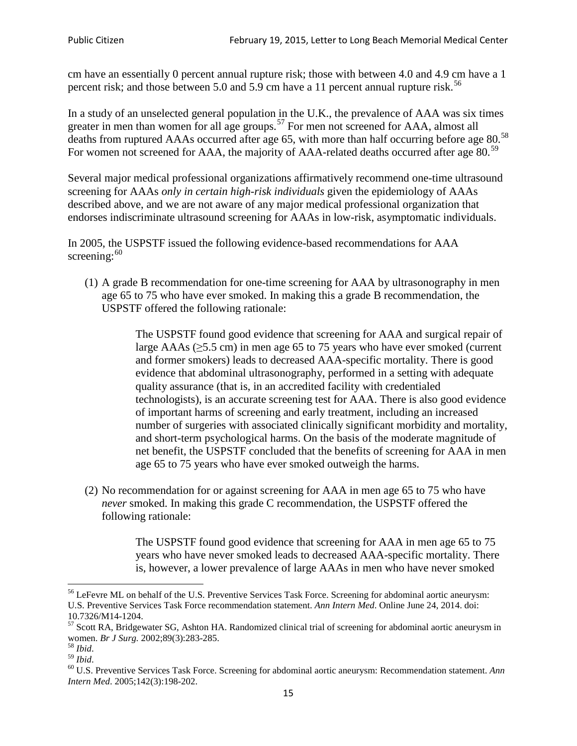cm have an essentially 0 percent annual rupture risk; those with between 4.0 and 4.9 cm have a 1 percent risk; and those between 5.0 and 5.9 cm have a 11 percent annual rupture risk.<sup>[56](#page-14-0)</sup>

In a study of an unselected general population in the U.K., the prevalence of AAA was six times greater in men than women for all age groups.<sup>[57](#page-14-1)</sup> For men not screened for  $AAA$ , almost all deaths from ruptured AAAs occurred after age 65, with more than half occurring before age 80.<sup>[58](#page-14-2)</sup> For women not screened for AAA, the majority of AAA-related deaths occurred after age 80.<sup>[59](#page-14-3)</sup>

Several major medical professional organizations affirmatively recommend one-time ultrasound screening for AAAs *only in certain high-risk individuals* given the epidemiology of AAAs described above, and we are not aware of any major medical professional organization that endorses indiscriminate ultrasound screening for AAAs in low-risk, asymptomatic individuals.

In 2005, the USPSTF issued the following evidence-based recommendations for AAA screening: $60$ 

(1) A grade B recommendation for one-time screening for AAA by ultrasonography in men age 65 to 75 who have ever smoked. In making this a grade [B recommendation,](http://www.uspreventiveservicestaskforce.org/uspstf/gradespre.htm#brec) the USPSTF offered the following rationale:

> The USPSTF found good evidence that screening for AAA and surgical repair of large AAAs ( $\geq$ 5.5 cm) in men age 65 to 75 years who have ever smoked (current and former smokers) leads to decreased AAA-specific mortality. There is good evidence that abdominal ultrasonography, performed in a setting with adequate quality assurance (that is, in an accredited facility with credentialed technologists), is an accurate screening test for AAA. There is also good evidence of important harms of screening and early treatment, including an increased number of surgeries with associated clinically significant morbidity and mortality, and short-term psychological harms. On the basis of the moderate magnitude of net benefit, the USPSTF concluded that the benefits of screening for AAA in men age 65 to 75 years who have ever smoked outweigh the harms.

(2) No recommendation for or against screening for AAA in men age 65 to 75 who have *never* smoked. In making this grade C recommendation, the USPSTF offered the following rationale:

> The USPSTF found good evidence that screening for AAA in men age 65 to 75 years who have never smoked leads to decreased AAA-specific mortality. There is, however, a lower prevalence of large AAAs in men who have never smoked

<span id="page-14-0"></span><sup>&</sup>lt;sup>56</sup> LeFevre ML on behalf of the U.S. Preventive Services Task Force. Screening for abdominal aortic aneurysm: U.S. Preventive Services Task Force recommendation statement. *Ann Intern Med*. Online June 24, 2014. doi:

<span id="page-14-1"></span><sup>10.7326/</sup>M14-1204.<br> $57$  Scott RA, Bridgewater SG, Ashton HA. Randomized clinical trial of screening for abdominal aortic aneurysm in women. *Br J Surg.* 2002;89(3):283-285.

<span id="page-14-4"></span><span id="page-14-3"></span>

<span id="page-14-2"></span><sup>&</sup>lt;sup>58</sup> *Ibid.*<br><sup>59</sup> *Ibid. Comen. Breeft Bervices Task Force. Screening for abdominal aortic aneurysm: Recommendation statement. <i>Ann* <sup>60</sup> U.S. Preventive Services Task Force. Screening for abdominal aortic aneurysm: Re *Intern Med*. 2005;142(3):198-202.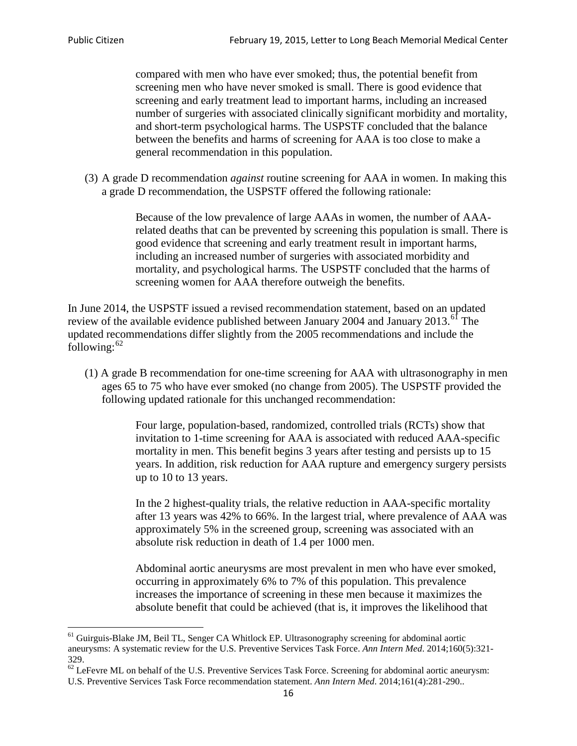compared with men who have ever smoked; thus, the potential benefit from screening men who have never smoked is small. There is good evidence that screening and early treatment lead to important harms, including an increased number of surgeries with associated clinically significant morbidity and mortality, and short-term psychological harms. The USPSTF concluded that the balance between the benefits and harms of screening for AAA is too close to make a general recommendation in this population.

(3) A grade D recommendation *against* routine screening for AAA in women. In making this a grade D recommendation, the USPSTF offered the following rationale:

> Because of the low prevalence of large AAAs in women, the number of AAArelated deaths that can be prevented by screening this population is small. There is good evidence that screening and early treatment result in important harms, including an increased number of surgeries with associated morbidity and mortality, and psychological harms. The USPSTF concluded that the harms of screening women for AAA therefore outweigh the benefits.

In June 2014, the USPSTF issued a revised recommendation statement, based on an updated review of the available evidence published between January 2004 and January 2013.<sup>[61](#page-15-0)</sup> The updated recommendations differ slightly from the 2005 recommendations and include the following: $62$ 

(1) A grade B recommendation for one-time screening for AAA with ultrasonography in men ages 65 to 75 who have ever smoked (no change from 2005). The USPSTF provided the following updated rationale for this unchanged recommendation:

> Four large, population-based, randomized, controlled trials (RCTs) show that invitation to 1-time screening for AAA is associated with reduced AAA-specific mortality in men. This benefit begins 3 years after testing and persists up to 15 years. In addition, risk reduction for AAA rupture and emergency surgery persists up to 10 to 13 years.

> In the 2 highest-quality trials, the relative reduction in AAA-specific mortality after 13 years was 42% to 66%. In the largest trial, where prevalence of AAA was approximately 5% in the screened group, screening was associated with an absolute risk reduction in death of 1.4 per 1000 men.

Abdominal aortic aneurysms are most prevalent in men who have ever smoked, occurring in approximately 6% to 7% of this population. This prevalence increases the importance of screening in these men because it maximizes the absolute benefit that could be achieved (that is, it improves the likelihood that

<span id="page-15-0"></span><sup>61</sup> Guirguis-Blake JM, Beil TL, Senger CA Whitlock EP. Ultrasonography screening for abdominal aortic aneurysms: A systematic review for the U.S. Preventive Services Task Force. *Ann Intern Med*. 2014;160(5):321- 329.

<span id="page-15-1"></span> $62$  LeFevre ML on behalf of the U.S. Preventive Services Task Force. Screening for abdominal aortic aneurysm: U.S. Preventive Services Task Force recommendation statement. *Ann Intern Med*. 2014;161(4):281-290..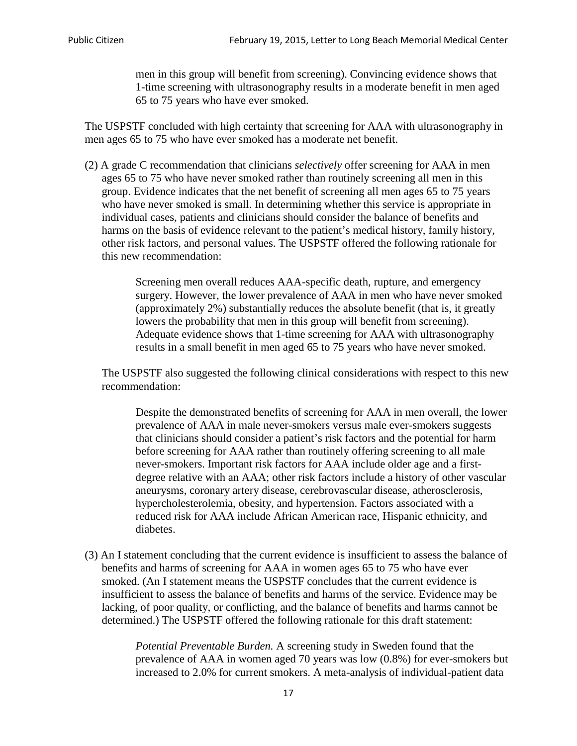men in this group will benefit from screening). Convincing evidence shows that 1-time screening with ultrasonography results in a moderate benefit in men aged 65 to 75 years who have ever smoked.

The USPSTF concluded with high certainty that screening for AAA with ultrasonography in men ages 65 to 75 who have ever smoked has a moderate net benefit.

(2) A grade C recommendation that clinicians *selectively* offer screening for AAA in men ages 65 to 75 who have never smoked rather than routinely screening all men in this group. Evidence indicates that the net benefit of screening all men ages 65 to 75 years who have never smoked is small. In determining whether this service is appropriate in individual cases, patients and clinicians should consider the balance of benefits and harms on the basis of evidence relevant to the patient's medical history, family history, other risk factors, and personal values. The USPSTF offered the following rationale for this new recommendation:

> Screening men overall reduces AAA-specific death, rupture, and emergency surgery. However, the lower prevalence of AAA in men who have never smoked (approximately 2%) substantially reduces the absolute benefit (that is, it greatly lowers the probability that men in this group will benefit from screening). Adequate evidence shows that 1-time screening for AAA with ultrasonography results in a small benefit in men aged 65 to 75 years who have never smoked.

The USPSTF also suggested the following clinical considerations with respect to this new recommendation:

Despite the demonstrated benefits of screening for AAA in men overall, the lower prevalence of AAA in male never-smokers versus male ever-smokers suggests that clinicians should consider a patient's risk factors and the potential for harm before screening for AAA rather than routinely offering screening to all male never-smokers. Important risk factors for AAA include older age and a firstdegree relative with an AAA; other risk factors include a history of other vascular aneurysms, coronary artery disease, cerebrovascular disease, atherosclerosis, hypercholesterolemia, obesity, and hypertension. Factors associated with a reduced risk for AAA include African American race, Hispanic ethnicity, and diabetes.

(3) An I statement concluding that the current evidence is insufficient to assess the balance of benefits and harms of screening for AAA in women ages 65 to 75 who have ever smoked. (An I statement means the USPSTF concludes that the current evidence is insufficient to assess the balance of benefits and harms of the service. Evidence may be lacking, of poor quality, or conflicting, and the balance of benefits and harms cannot be determined.) The USPSTF offered the following rationale for this draft statement:

> *Potential Preventable Burden.* A screening study in Sweden found that the prevalence of AAA in women aged 70 years was low (0.8%) for ever-smokers but increased to 2.0% for current smokers. A meta-analysis of individual-patient data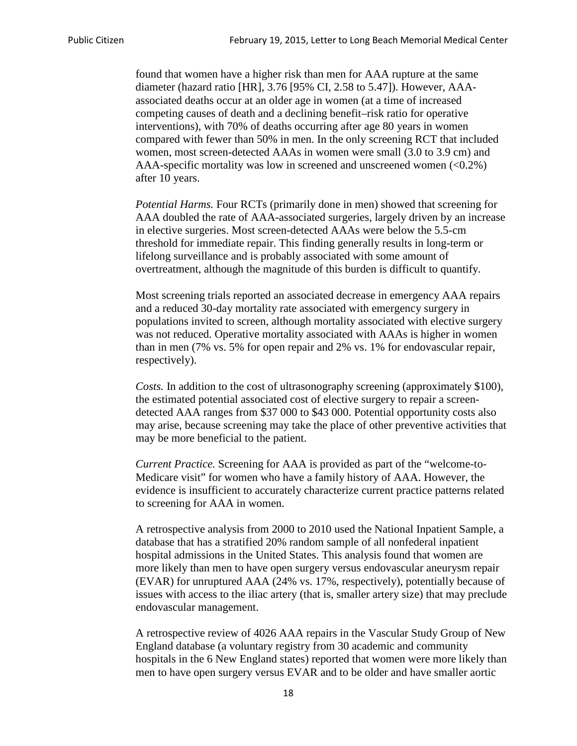found that women have a higher risk than men for AAA rupture at the same diameter (hazard ratio [HR], 3.76 [95% CI, 2.58 to 5.47]). However, AAAassociated deaths occur at an older age in women (at a time of increased competing causes of death and a declining benefit–risk ratio for operative interventions), with 70% of deaths occurring after age 80 years in women compared with fewer than 50% in men. In the only screening RCT that included women, most screen-detected AAAs in women were small (3.0 to 3.9 cm) and AAA-specific mortality was low in screened and unscreened women (<0.2%) after 10 years.

*Potential Harms.* Four RCTs (primarily done in men) showed that screening for AAA doubled the rate of AAA-associated surgeries, largely driven by an increase in elective surgeries. Most screen-detected AAAs were below the 5.5-cm threshold for immediate repair. This finding generally results in long-term or lifelong surveillance and is probably associated with some amount of overtreatment, although the magnitude of this burden is difficult to quantify.

Most screening trials reported an associated decrease in emergency AAA repairs and a reduced 30-day mortality rate associated with emergency surgery in populations invited to screen, although mortality associated with elective surgery was not reduced. Operative mortality associated with AAAs is higher in women than in men (7% vs. 5% for open repair and 2% vs. 1% for endovascular repair, respectively).

*Costs.* In addition to the cost of ultrasonography screening (approximately \$100), the estimated potential associated cost of elective surgery to repair a screendetected AAA ranges from \$37 000 to \$43 000. Potential opportunity costs also may arise, because screening may take the place of other preventive activities that may be more beneficial to the patient.

*Current Practice.* Screening for AAA is provided as part of the "welcome-to-Medicare visit" for women who have a family history of AAA. However, the evidence is insufficient to accurately characterize current practice patterns related to screening for AAA in women.

A retrospective analysis from 2000 to 2010 used the National Inpatient Sample, a database that has a stratified 20% random sample of all nonfederal inpatient hospital admissions in the United States. This analysis found that women are more likely than men to have open surgery versus endovascular aneurysm repair (EVAR) for unruptured AAA (24% vs. 17%, respectively), potentially because of issues with access to the iliac artery (that is, smaller artery size) that may preclude endovascular management.

A retrospective review of 4026 AAA repairs in the Vascular Study Group of New England database (a voluntary registry from 30 academic and community hospitals in the 6 New England states) reported that women were more likely than men to have open surgery versus EVAR and to be older and have smaller aortic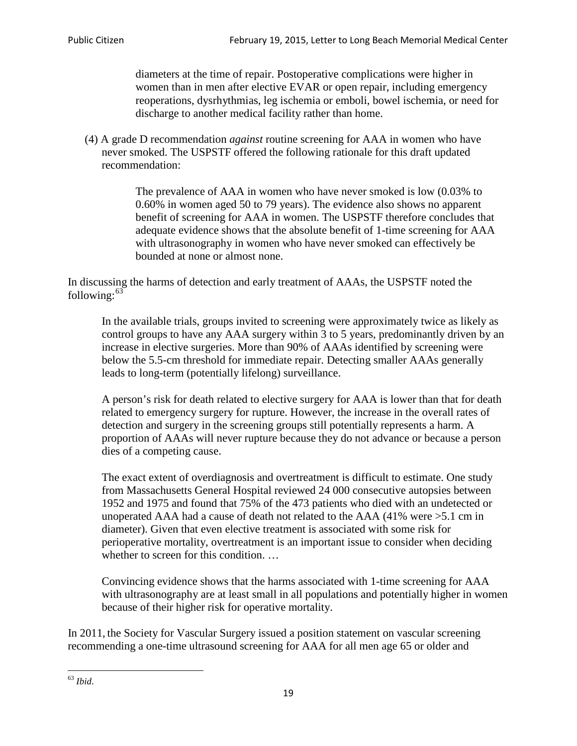diameters at the time of repair. Postoperative complications were higher in women than in men after elective EVAR or open repair, including emergency reoperations, dysrhythmias, leg ischemia or emboli, bowel ischemia, or need for discharge to another medical facility rather than home.

(4) A grade D recommendation *against* routine screening for AAA in women who have never smoked. The USPSTF offered the following rationale for this draft updated recommendation:

> The prevalence of AAA in women who have never smoked is low (0.03% to 0.60% in women aged 50 to 79 years). The evidence also shows no apparent benefit of screening for AAA in women. The USPSTF therefore concludes that adequate evidence shows that the absolute benefit of 1-time screening for AAA with ultrasonography in women who have never smoked can effectively be bounded at none or almost none.

In discussing the harms of detection and early treatment of AAAs, the USPSTF noted the following: $63$ 

In the available trials, groups invited to screening were approximately twice as likely as control groups to have any AAA surgery within 3 to 5 years, predominantly driven by an increase in elective surgeries. More than 90% of AAAs identified by screening were below the 5.5-cm threshold for immediate repair. Detecting smaller AAAs generally leads to long-term (potentially lifelong) surveillance.

A person's risk for death related to elective surgery for AAA is lower than that for death related to emergency surgery for rupture. However, the increase in the overall rates of detection and surgery in the screening groups still potentially represents a harm. A proportion of AAAs will never rupture because they do not advance or because a person dies of a competing cause.

The exact extent of overdiagnosis and overtreatment is difficult to estimate. One study from Massachusetts General Hospital reviewed 24 000 consecutive autopsies between 1952 and 1975 and found that 75% of the 473 patients who died with an undetected or unoperated AAA had a cause of death not related to the AAA (41% were >5.1 cm in diameter). Given that even elective treatment is associated with some risk for perioperative mortality, overtreatment is an important issue to consider when deciding whether to screen for this condition....

Convincing evidence shows that the harms associated with 1-time screening for AAA with ultrasonography are at least small in all populations and potentially higher in women because of their higher risk for operative mortality.

In 2011, the Society for Vascular Surgery issued a position statement on vascular screening recommending a one-time ultrasound screening for AAA for all men age 65 or older and

<span id="page-18-0"></span><sup>63</sup> *Ibid*.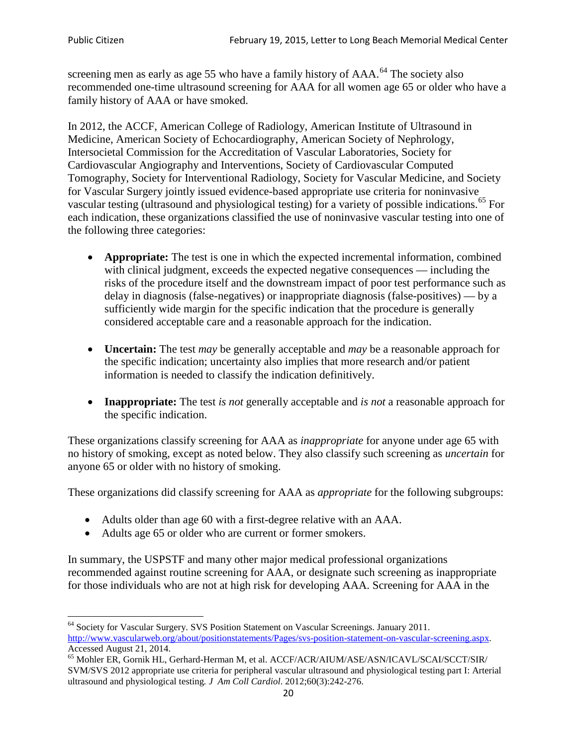screening men as early as age 55 who have a family history of AAA.<sup>[64](#page-19-0)</sup> The society also recommended one-time ultrasound screening for AAA for all women age 65 or older who have a family history of AAA or have smoked.

In 2012, the ACCF, American College of Radiology, American Institute of Ultrasound in Medicine, American Society of Echocardiography, American Society of Nephrology, Intersocietal Commission for the Accreditation of Vascular Laboratories, Society for Cardiovascular Angiography and Interventions, Society of Cardiovascular Computed Tomography, Society for Interventional Radiology, Society for Vascular Medicine, and Society for Vascular Surgery jointly issued evidence-based appropriate use criteria for noninvasive vascular testing (ultrasound and physiological testing) for a variety of possible indications.<sup>[65](#page-19-1)</sup> For each indication, these organizations classified the use of noninvasive vascular testing into one of the following three categories:

- **Appropriate:** The test is one in which the expected incremental information, combined with clinical judgment, exceeds the expected negative consequences — including the risks of the procedure itself and the downstream impact of poor test performance such as delay in diagnosis (false-negatives) or inappropriate diagnosis (false-positives) — by a sufficiently wide margin for the specific indication that the procedure is generally considered acceptable care and a reasonable approach for the indication.
- **Uncertain:** The test *may* be generally acceptable and *may* be a reasonable approach for the specific indication; uncertainty also implies that more research and/or patient information is needed to classify the indication definitively.
- **Inappropriate:** The test *is not* generally acceptable and *is not* a reasonable approach for the specific indication.

These organizations classify screening for AAA as *inappropriate* for anyone under age 65 with no history of smoking, except as noted below. They also classify such screening as *uncertain* for anyone 65 or older with no history of smoking.

These organizations did classify screening for AAA as *appropriate* for the following subgroups:

- Adults older than age 60 with a first-degree relative with an AAA.
- Adults age 65 or older who are current or former smokers.

In summary, the USPSTF and many other major medical professional organizations recommended against routine screening for AAA, or designate such screening as inappropriate for those individuals who are not at high risk for developing AAA. Screening for AAA in the

<span id="page-19-0"></span><sup>64</sup> Society for Vascular Surgery. SVS Position Statement on Vascular Screenings. January 2011. [http://www.vascularweb.org/about/positionstatements/Pages/svs-position-statement-on-vascular-screening.aspx.](http://www.vascularweb.org/about/positionstatements/Pages/svs-position-statement-on-vascular-screening.aspx) 

<span id="page-19-1"></span>Accessed August 21, 2014.<br><sup>65</sup> Mohler ER, Gornik HL, Gerhard-Herman M, et al. ACCF/ACR/AIUM/ASE/ASN/ICAVL/SCAI/SCCT/SIR/ SVM/SVS 2012 appropriate use criteria for peripheral vascular ultrasound and physiological testing part I: Arterial ultrasound and physiological testing*. J Am Coll Cardiol*. 2012;60(3):242-276.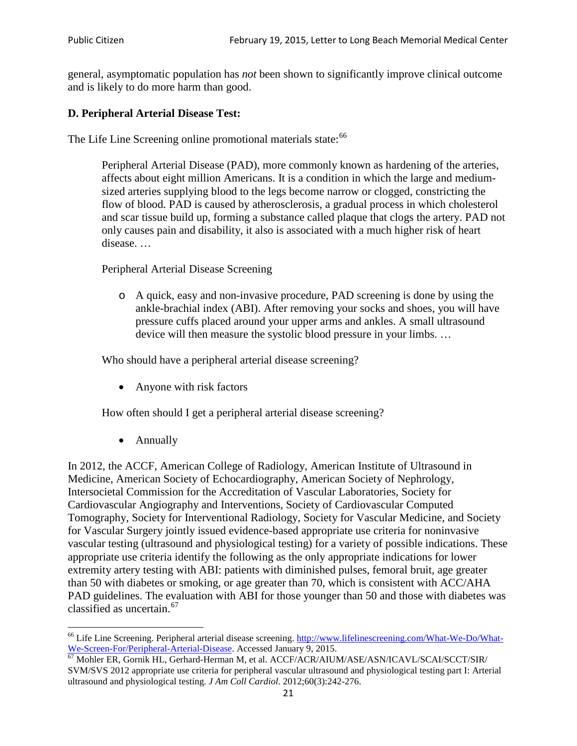general, asymptomatic population has *not* been shown to significantly improve clinical outcome and is likely to do more harm than good.

### **D. Peripheral Arterial Disease Test:**

The Life Line Screening online promotional materials state:<sup>[66](#page-20-0)</sup>

Peripheral Arterial Disease (PAD), more commonly known as hardening of the arteries, affects about eight million Americans. It is a condition in which the large and mediumsized arteries supplying blood to the legs become narrow or clogged, constricting the flow of blood. PAD is caused by atherosclerosis, a gradual process in which cholesterol and scar tissue build up, forming a substance called plaque that clogs the artery. PAD not only causes pain and disability, it also is associated with a much higher risk of heart disease. …

Peripheral Arterial Disease Screening

o A quick, easy and non-invasive procedure, PAD screening is done by using the ankle-brachial index (ABI). After removing your socks and shoes, you will have pressure cuffs placed around your upper arms and ankles. A small ultrasound device will then measure the systolic blood pressure in your limbs. …

Who should have a peripheral arterial disease screening?

• Anyone with risk factors

How often should I get a peripheral arterial disease screening?

• Annually

In 2012, the ACCF, American College of Radiology, American Institute of Ultrasound in Medicine, American Society of Echocardiography, American Society of Nephrology, Intersocietal Commission for the Accreditation of Vascular Laboratories, Society for Cardiovascular Angiography and Interventions, Society of Cardiovascular Computed Tomography, Society for Interventional Radiology, Society for Vascular Medicine, and Society for Vascular Surgery jointly issued evidence-based appropriate use criteria for noninvasive vascular testing (ultrasound and physiological testing) for a variety of possible indications. These appropriate use criteria identify the following as the only appropriate indications for lower extremity artery testing with ABI: patients with diminished pulses, femoral bruit, age greater than 50 with diabetes or smoking, or age greater than 70, which is consistent with ACC/AHA PAD guidelines. The evaluation with ABI for those younger than 50 and those with diabetes was classified as uncertain.<sup>[67](#page-20-1)</sup>

<span id="page-20-0"></span><sup>&</sup>lt;sup>66</sup> Life Line Screening. Peripheral arterial disease screening. [http://www.lifelinescreening.com/What-We-Do/What-](http://www.lifelinescreening.com/What-We-Do/What-We-Screen-For/Peripheral-Arterial-Disease)[We-Screen-For/Peripheral-Arterial-Disease.](http://www.lifelinescreening.com/What-We-Do/What-We-Screen-For/Peripheral-Arterial-Disease) Accessed January 9, 2015.<br><sup>67</sup> Mohler ER, Gornik HL, Gerhard-Herman M, et al. ACCF/ACR/AIUM/ASE/ASN/ICAVL/SCAI/SCCT/SIR/

<span id="page-20-1"></span>SVM/SVS 2012 appropriate use criteria for peripheral vascular ultrasound and physiological testing part I: Arterial ultrasound and physiological testing. *J Am Coll Cardiol*. 2012;60(3):242-276.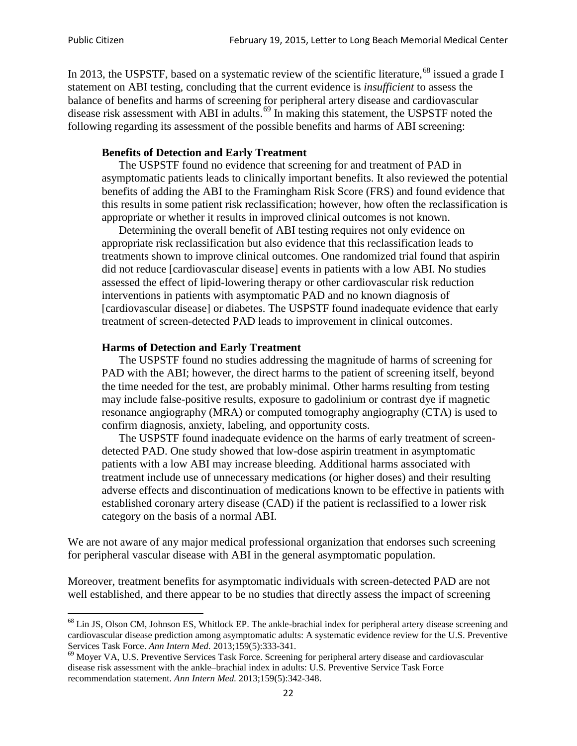In 2013, the USPSTF, based on a systematic review of the scientific literature,<sup>[68](#page-21-0)</sup> issued a grade I statement on ABI testing, concluding that the current evidence is *insufficient* to assess the balance of benefits and harms of screening for peripheral artery disease and cardiovascular disease risk assessment with ABI in adults.<sup>[69](#page-21-1)</sup> In making this statement, the USPSTF noted the following regarding its assessment of the possible benefits and harms of ABI screening:

#### **Benefits of Detection and Early Treatment**

The USPSTF found no evidence that screening for and treatment of PAD in asymptomatic patients leads to clinically important benefits. It also reviewed the potential benefits of adding the ABI to the Framingham Risk Score (FRS) and found evidence that this results in some patient risk reclassification; however, how often the reclassification is appropriate or whether it results in improved clinical outcomes is not known.

Determining the overall benefit of ABI testing requires not only evidence on appropriate risk reclassification but also evidence that this reclassification leads to treatments shown to improve clinical outcomes. One randomized trial found that aspirin did not reduce [cardiovascular disease] events in patients with a low ABI. No studies assessed the effect of lipid-lowering therapy or other cardiovascular risk reduction interventions in patients with asymptomatic PAD and no known diagnosis of [cardiovascular disease] or diabetes. The USPSTF found inadequate evidence that early treatment of screen-detected PAD leads to improvement in clinical outcomes.

#### **Harms of Detection and Early Treatment**

The USPSTF found no studies addressing the magnitude of harms of screening for PAD with the ABI; however, the direct harms to the patient of screening itself, beyond the time needed for the test, are probably minimal. Other harms resulting from testing may include false-positive results, exposure to gadolinium or contrast dye if magnetic resonance angiography (MRA) or computed tomography angiography (CTA) is used to confirm diagnosis, anxiety, labeling, and opportunity costs.

The USPSTF found inadequate evidence on the harms of early treatment of screendetected PAD. One study showed that low-dose aspirin treatment in asymptomatic patients with a low ABI may increase bleeding. Additional harms associated with treatment include use of unnecessary medications (or higher doses) and their resulting adverse effects and discontinuation of medications known to be effective in patients with established coronary artery disease (CAD) if the patient is reclassified to a lower risk category on the basis of a normal ABI.

We are not aware of any major medical professional organization that endorses such screening for peripheral vascular disease with ABI in the general asymptomatic population.

Moreover, treatment benefits for asymptomatic individuals with screen-detected PAD are not well established, and there appear to be no studies that directly assess the impact of screening

<span id="page-21-0"></span><sup>&</sup>lt;sup>68</sup> Lin JS, Olson CM, Johnson ES, Whitlock EP. The ankle-brachial index for peripheral artery disease screening and cardiovascular disease prediction among asymptomatic adults: A systematic evidence review for the U.S. Preventive Services Task Force. *Ann Intern Med.* 2013;159(5):333-341.<br><sup>69</sup> Moyer VA, U.S. Preventive Services Task Force. Screening for peripheral artery disease and cardiovascular

<span id="page-21-1"></span>disease risk assessment with the ankle–brachial index in adults: U.S. Preventive Service Task Force recommendation statement. *Ann Intern Med.* 2013;159(5):342-348.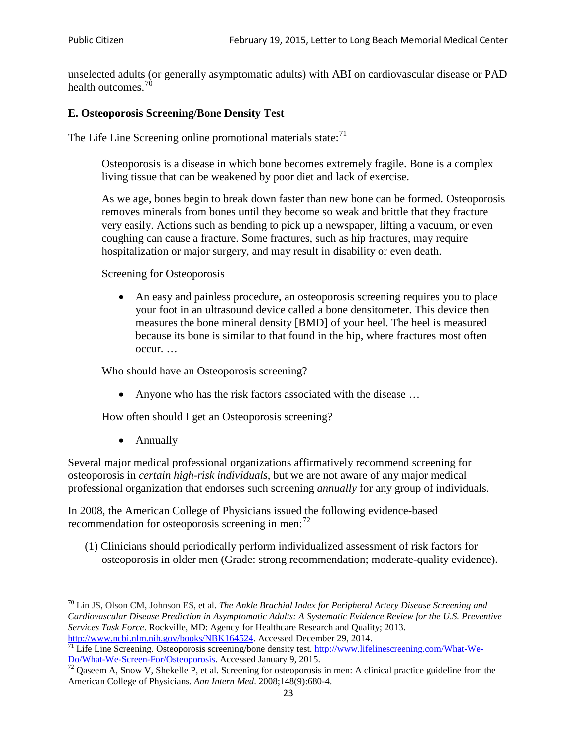unselected adults (or generally asymptomatic adults) with ABI on cardiovascular disease or PAD health outcomes.<sup>[70](#page-22-0)</sup>

### **E. Osteoporosis Screening/Bone Density Test**

The Life Line Screening online promotional materials state: $<sup>71</sup>$  $<sup>71</sup>$  $<sup>71</sup>$ </sup>

Osteoporosis is a disease in which bone becomes extremely fragile. Bone is a complex living tissue that can be weakened by poor diet and lack of exercise.

As we age, bones begin to break down faster than new bone can be formed. Osteoporosis removes minerals from bones until they become so weak and brittle that they fracture very easily. Actions such as bending to pick up a newspaper, lifting a vacuum, or even coughing can cause a fracture. Some fractures, such as hip fractures, may require hospitalization or major surgery, and may result in disability or even death.

Screening for Osteoporosis

• An easy and painless procedure, an osteoporosis screening requires you to place your foot in an ultrasound device called a bone densitometer. This device then measures the bone mineral density [BMD] of your heel. The heel is measured because its bone is similar to that found in the hip, where fractures most often occur. …

Who should have an Osteoporosis screening?

• Anyone who has the risk factors associated with the disease ...

How often should I get an Osteoporosis screening?

• Annually

Several major medical professional organizations affirmatively recommend screening for osteoporosis in *certain high-risk individuals*, but we are not aware of any major medical professional organization that endorses such screening *annually* for any group of individuals.

In 2008, the American College of Physicians issued the following evidence-based recommendation for osteoporosis screening in men: $^{72}$  $^{72}$  $^{72}$ 

(1) Clinicians should periodically perform individualized assessment of risk factors for osteoporosis in older men (Grade: strong recommendation; moderate-quality evidence).

<span id="page-22-0"></span><sup>70</sup> [Lin JS,](http://www.ncbi.nlm.nih.gov/pubmed?term=Lin%20JS%5BAuthor%5D&cauthor=true&cauthor_uid=24156115) [Olson CM,](http://www.ncbi.nlm.nih.gov/pubmed?term=Olson%20CM%5BAuthor%5D&cauthor=true&cauthor_uid=24156115) [Johnson ES,](http://www.ncbi.nlm.nih.gov/pubmed?term=Johnson%20ES%5BAuthor%5D&cauthor=true&cauthor_uid=24156115) et al. *The Ankle Brachial Index for Peripheral Artery Disease Screening and Cardiovascular Disease Prediction in Asymptomatic Adults: A Systematic Evidence Review for the U.S. Preventive Services Task Force*. Rockville, MD: Agency for Healthcare Research and Quality; 2013.<br>http://www.ncbi.nlm.nih.gov/books/NBK164524. Accessed December 29, 2014.

<span id="page-22-1"></span> $\frac{1}{71}$  Life Line Screening. Osteoporosis screening/bone density test. [http://www.lifelinescreening.com/What-We-](http://www.lifelinescreening.com/What-We-Do/What-We-Screen-For/Osteoporosis) $\underline{Do/What-We-Screen-For/Osteoporosis}$ . Accessed January 9, 2015.<br><sup>72</sup> Qaseem A, Snow V, Shekelle P, et al. Screening for osteoporosis in men: A clinical practice guideline from the

<span id="page-22-2"></span>American College of Physicians. *Ann Intern Med*. 2008;148(9):680-4.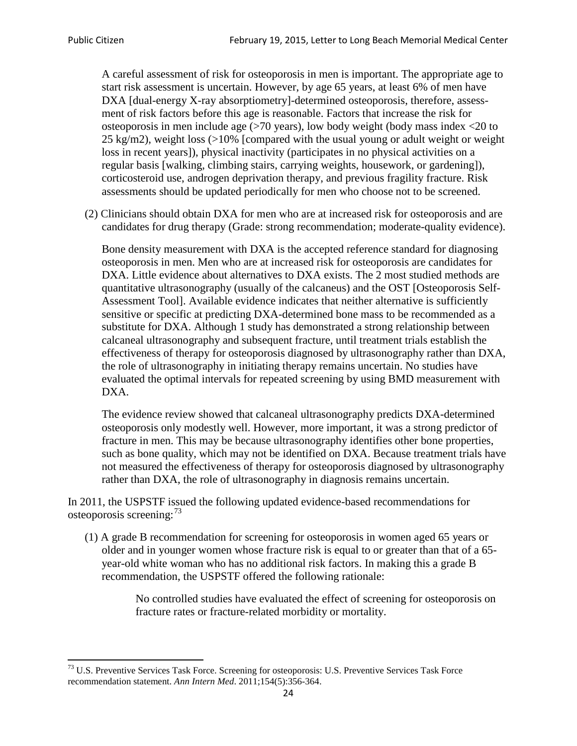A careful assessment of risk for osteoporosis in men is important. The appropriate age to start risk assessment is uncertain. However, by age 65 years, at least 6% of men have DXA [dual-energy X-ray absorptiometry]-determined osteoporosis, therefore, assessment of risk factors before this age is reasonable. Factors that increase the risk for osteoporosis in men include age (>70 years), low body weight (body mass index <20 to 25 kg/m2), weight loss  $\langle$  >10% [compared with the usual young or adult weight or weight loss in recent years]), physical inactivity (participates in no physical activities on a regular basis [walking, climbing stairs, carrying weights, housework, or gardening]), corticosteroid use, androgen deprivation therapy, and previous fragility fracture. Risk assessments should be updated periodically for men who choose not to be screened.

(2) Clinicians should obtain DXA for men who are at increased risk for osteoporosis and are candidates for drug therapy (Grade: strong recommendation; moderate-quality evidence).

Bone density measurement with DXA is the accepted reference standard for diagnosing osteoporosis in men. Men who are at increased risk for osteoporosis are candidates for DXA. Little evidence about alternatives to DXA exists. The 2 most studied methods are quantitative ultrasonography (usually of the calcaneus) and the OST [Osteoporosis Self-Assessment Tool]. Available evidence indicates that neither alternative is sufficiently sensitive or specific at predicting DXA-determined bone mass to be recommended as a substitute for DXA. Although 1 study has demonstrated a strong relationship between calcaneal ultrasonography and subsequent fracture, until treatment trials establish the effectiveness of therapy for osteoporosis diagnosed by ultrasonography rather than DXA, the role of ultrasonography in initiating therapy remains uncertain. No studies have evaluated the optimal intervals for repeated screening by using BMD measurement with DXA.

The evidence review showed that calcaneal ultrasonography predicts DXA-determined osteoporosis only modestly well. However, more important, it was a strong predictor of fracture in men. This may be because ultrasonography identifies other bone properties, such as bone quality, which may not be identified on DXA. Because treatment trials have not measured the effectiveness of therapy for osteoporosis diagnosed by ultrasonography rather than DXA, the role of ultrasonography in diagnosis remains uncertain.

In 2011, the USPSTF issued the following updated evidence-based recommendations for osteoporosis screening:<sup>[73](#page-23-0)</sup>

(1) A grade B recommendation for screening for osteoporosis in women aged 65 years or older and in younger women whose fracture risk is equal to or greater than that of a 65 year-old white woman who has no additional risk factors. In making this a grade B recommendation, the USPSTF offered the following rationale:

> No controlled studies have evaluated the effect of screening for osteoporosis on fracture rates or fracture-related morbidity or mortality.

<span id="page-23-0"></span><sup>&</sup>lt;sup>73</sup> U.S. Preventive Services Task Force. Screening for osteoporosis: U.S. Preventive Services Task Force recommendation statement. *Ann Intern Med*. 2011;154(5):356-364.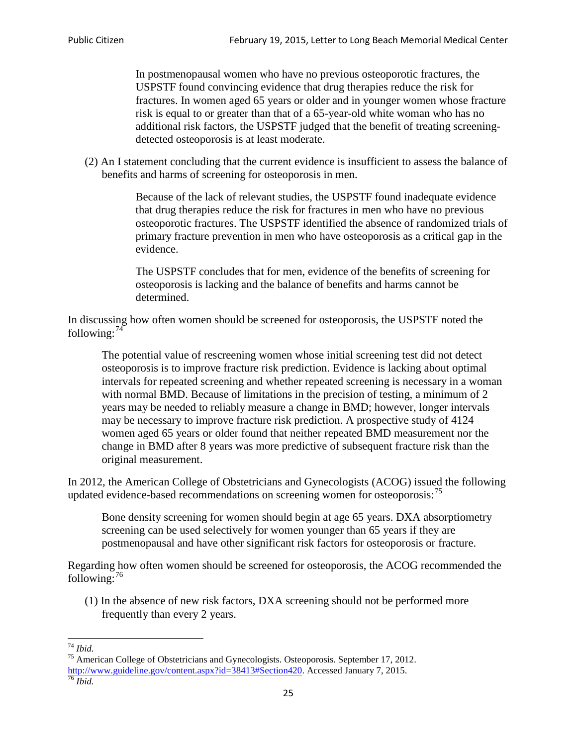In postmenopausal women who have no previous osteoporotic fractures, the USPSTF found convincing evidence that drug therapies reduce the risk for fractures. In women aged 65 years or older and in younger women whose fracture risk is equal to or greater than that of a 65-year-old white woman who has no additional risk factors, the USPSTF judged that the benefit of treating screeningdetected osteoporosis is at least moderate.

(2) An I statement concluding that the current evidence is insufficient to assess the balance of benefits and harms of screening for osteoporosis in men.

> Because of the lack of relevant studies, the USPSTF found inadequate evidence that drug therapies reduce the risk for fractures in men who have no previous osteoporotic fractures. The USPSTF identified the absence of randomized trials of primary fracture prevention in men who have osteoporosis as a critical gap in the evidence.

The USPSTF concludes that for men, evidence of the benefits of screening for osteoporosis is lacking and the balance of benefits and harms cannot be determined.

In discussing how often women should be screened for osteoporosis, the USPSTF noted the following: $74$ 

The potential value of rescreening women whose initial screening test did not detect osteoporosis is to improve fracture risk prediction. Evidence is lacking about optimal intervals for repeated screening and whether repeated screening is necessary in a woman with normal BMD. Because of limitations in the precision of testing, a minimum of 2 years may be needed to reliably measure a change in BMD; however, longer intervals may be necessary to improve fracture risk prediction. A prospective study of 4124 women aged 65 years or older found that neither repeated BMD measurement nor the change in BMD after 8 years was more predictive of subsequent fracture risk than the original measurement.

In 2012, the American College of Obstetricians and Gynecologists (ACOG) issued the following updated evidence-based recommendations on screening women for osteoporosis:<sup>[75](#page-24-1)</sup>

Bone density screening for women should begin at age 65 years. DXA absorptiometry screening can be used selectively for women younger than 65 years if they are postmenopausal and have other significant risk factors for osteoporosis or fracture.

Regarding how often women should be screened for osteoporosis, the ACOG recommended the following: $^{76}$  $^{76}$  $^{76}$ 

(1) In the absence of new risk factors, DXA screening should not be performed more frequently than every 2 years.

<span id="page-24-2"></span><span id="page-24-1"></span><span id="page-24-0"></span><sup>74</sup> *Ibid.* <sup>75</sup> American College of Obstetricians and Gynecologists. Osteoporosis. September 17, 2012. [http://www.guideline.gov/content.aspx?id=38413#Section420.](http://www.guideline.gov/content.aspx?id=38413#Section420) Accessed January 7, 2015.<br><sup>76</sup> *Ibid.*